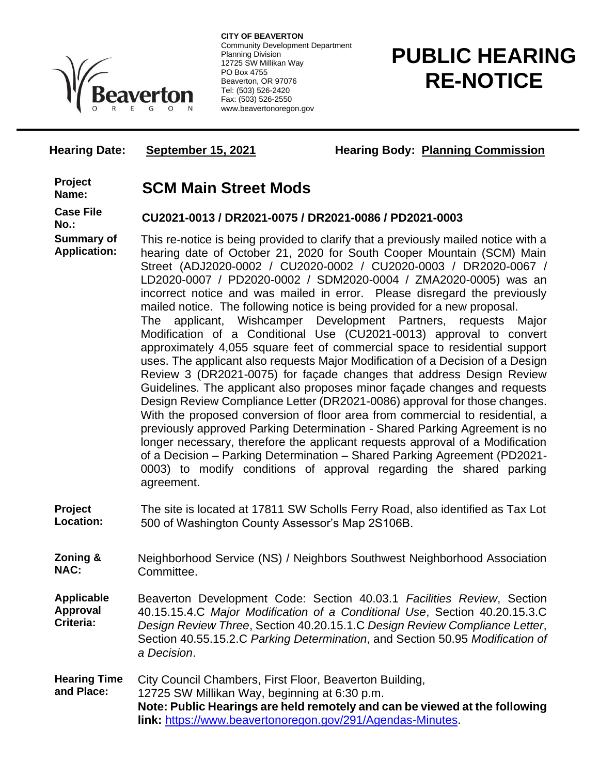

**CITY OF BEAVERTON** Community Development Department Planning Division 12725 SW Millikan Way PO Box 4755 Beaverton, OR 97076 Tel: (503) 526-2420 Fax: (503) 526-2550 www.beavertonoregon.gov

# **PUBLIC HEARING RE-NOTICE**

**Hearing Date:** September 15, 2021 **Hearing Body: Planning Commission** 

**Project** 

## **Name: SCM Main Street Mods**

**Case File Summary of**

**Application:**

### **No.: CU2021-0013 / DR2021-0075 / DR2021-0086 / PD2021-0003**

This re-notice is being provided to clarify that a previously mailed notice with a hearing date of October 21, 2020 for South Cooper Mountain (SCM) Main Street (ADJ2020-0002 / CU2020-0002 / CU2020-0003 / DR2020-0067 / LD2020-0007 / PD2020-0002 / SDM2020-0004 / ZMA2020-0005) was an incorrect notice and was mailed in error. Please disregard the previously mailed notice. The following notice is being provided for a new proposal. The applicant, Wishcamper Development Partners, requests Major Modification of a Conditional Use (CU2021-0013) approval to convert approximately 4,055 square feet of commercial space to residential support uses. The applicant also requests Major Modification of a Decision of a Design Review 3 (DR2021-0075) for façade changes that address Design Review Guidelines. The applicant also proposes minor façade changes and requests Design Review Compliance Letter (DR2021-0086) approval for those changes. With the proposed conversion of floor area from commercial to residential, a previously approved Parking Determination - Shared Parking Agreement is no longer necessary, therefore the applicant requests approval of a Modification of a Decision – Parking Determination – Shared Parking Agreement (PD2021- 0003) to modify conditions of approval regarding the shared parking agreement.

- **Project Location:** The site is located at 17811 SW Scholls Ferry Road, also identified as Tax Lot 500 of Washington County Assessor's Map 2S106B.
- **Zoning & NAC:** Neighborhood Service (NS) / Neighbors Southwest Neighborhood Association Committee.

**Applicable Approval Criteria:** Beaverton Development Code: Section 40.03.1 *Facilities Review*, Section 40.15.15.4.C *Major Modification of a Conditional Use*, Section 40.20.15.3.C *Design Review Three*, Section 40.20.15.1.C *Design Review Compliance Letter*, Section 40.55.15.2.C *Parking Determination*, and Section 50.95 *Modification of a Decision*.

**Hearing Time and Place:** City Council Chambers, First Floor, Beaverton Building, 12725 SW Millikan Way, beginning at 6:30 p.m. **Note: Public Hearings are held remotely and can be viewed at the following link:** [https://www.beavertonoregon.gov/291/Agendas-Minutes.](https://www.beavertonoregon.gov/291/Agendas-Minutes)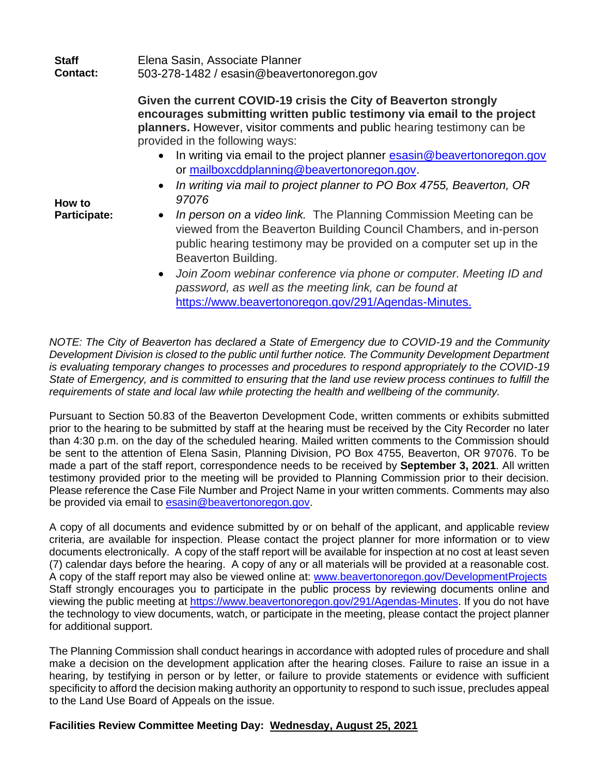| Staff           | Elena Sasin, Associate Planner            |
|-----------------|-------------------------------------------|
| <b>Contact:</b> | 503-278-1482 / esasin@beavertonoregon.gov |

**Given the current COVID-19 crisis the City of Beaverton strongly encourages submitting written public testimony via email to the project planners.** However, visitor comments and public hearing testimony can be provided in the following ways:

- In writing via email to the project planner [esasin@beavertonoregon.gov](mailto:esasin@beavertonoregon.gov) or [mailboxcddplanning@beavertonoregon.gov.](mailto:mailboxcddplanning@beavertonoregon.gov)
- *In writing via mail to project planner to PO Box 4755, Beaverton, OR 97076*
- *In person on a video link.* The Planning Commission Meeting can be viewed from the Beaverton Building Council Chambers, and in-person public hearing testimony may be provided on a computer set up in the Beaverton Building.
- *Join Zoom webinar conference via phone or computer. Meeting ID and password, as well as the meeting link, can be found at*  [https://www.beavertonoregon.gov/291/Agendas-Minutes.](https://www.beavertonoregon.gov/291/Agendas-Minutes)

*NOTE: The City of Beaverton has declared a State of Emergency due to COVID-19 and the Community Development Division is closed to the public until further notice. The Community Development Department is evaluating temporary changes to processes and procedures to respond appropriately to the COVID-19 State of Emergency, and is committed to ensuring that the land use review process continues to fulfill the requirements of state and local law while protecting the health and wellbeing of the community.*

Pursuant to Section 50.83 of the Beaverton Development Code, written comments or exhibits submitted prior to the hearing to be submitted by staff at the hearing must be received by the City Recorder no later than 4:30 p.m. on the day of the scheduled hearing. Mailed written comments to the Commission should be sent to the attention of Elena Sasin, Planning Division, PO Box 4755, Beaverton, OR 97076. To be made a part of the staff report, correspondence needs to be received by **September 3, 2021**. All written testimony provided prior to the meeting will be provided to Planning Commission prior to their decision. Please reference the Case File Number and Project Name in your written comments. Comments may also be provided via email to [esasin@beavertonoregon.gov.](mailto:esasin@beavertonoregon.gov)

A copy of all documents and evidence submitted by or on behalf of the applicant, and applicable review criteria, are available for inspection. Please contact the project planner for more information or to view documents electronically. A copy of the staff report will be available for inspection at no cost at least seven (7) calendar days before the hearing. A copy of any or all materials will be provided at a reasonable cost. A copy of the staff report may also be viewed online at: [www.beavertonoregon.gov/DevelopmentProjects](http://www.beavertonoregon.gov/DevelopmentProjects) Staff strongly encourages you to participate in the public process by reviewing documents online and viewing the public meeting at [https://www.beavertonoregon.gov/291/Agendas-Minutes.](https://www.beavertonoregon.gov/291/Agendas-Minutes) If you do not have the technology to view documents, watch, or participate in the meeting, please contact the project planner for additional support.

The Planning Commission shall conduct hearings in accordance with adopted rules of procedure and shall make a decision on the development application after the hearing closes. Failure to raise an issue in a hearing, by testifying in person or by letter, or failure to provide statements or evidence with sufficient specificity to afford the decision making authority an opportunity to respond to such issue, precludes appeal to the Land Use Board of Appeals on the issue.

#### **Facilities Review Committee Meeting Day: Wednesday, August 25, 2021**

**How to Participate:**